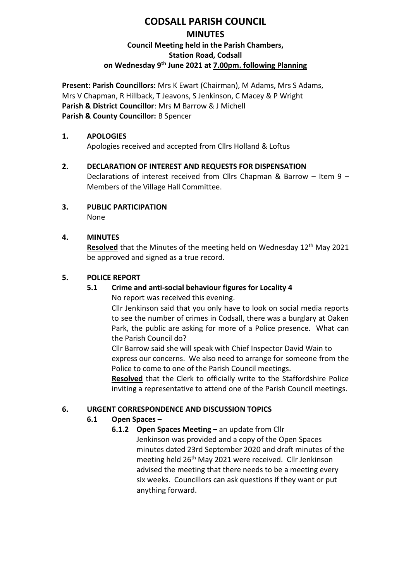# **CODSALL PARISH COUNCIL MINUTES Council Meeting held in the Parish Chambers, Station Road, Codsall on Wednesday 9 th June 2021 at 7.00pm. following Planning**

**Present: Parish Councillors:** Mrs K Ewart (Chairman), M Adams, Mrs S Adams, Mrs V Chapman, R Hillback, T Jeavons, S Jenkinson, C Macey & P Wright **Parish & District Councillor**: Mrs M Barrow & J Michell **Parish & County Councillor:** B Spencer

#### **1. APOLOGIES**

Apologies received and accepted from Cllrs Holland & Loftus

- **2. DECLARATION OF INTEREST AND REQUESTS FOR DISPENSATION** Declarations of interest received from Cllrs Chapman & Barrow – Item 9 – Members of the Village Hall Committee.
- **3. PUBLIC PARTICIPATION** None
- **4. MINUTES**

**Resolved** that the Minutes of the meeting held on Wednesday 12<sup>th</sup> May 2021 be approved and signed as a true record.

#### **5. POLICE REPORT**

### **5.1 Crime and anti-social behaviour figures for Locality 4**

No report was received this evening.

Cllr Jenkinson said that you only have to look on social media reports to see the number of crimes in Codsall, there was a burglary at Oaken Park, the public are asking for more of a Police presence. What can the Parish Council do?

Cllr Barrow said she will speak with Chief Inspector David Wain to express our concerns. We also need to arrange for someone from the Police to come to one of the Parish Council meetings.

**Resolved** that the Clerk to officially write to the Staffordshire Police inviting a representative to attend one of the Parish Council meetings.

### **6. URGENT CORRESPONDENCE AND DISCUSSION TOPICS**

### **6.1 Open Spaces –**

**6.1.2 Open Spaces Meeting – an update from Cllr** Jenkinson was provided and a copy of the Open Spaces minutes dated 23rd September 2020 and draft minutes of the meeting held 26<sup>th</sup> May 2021 were received. Cllr Jenkinson advised the meeting that there needs to be a meeting every six weeks. Councillors can ask questions if they want or put anything forward.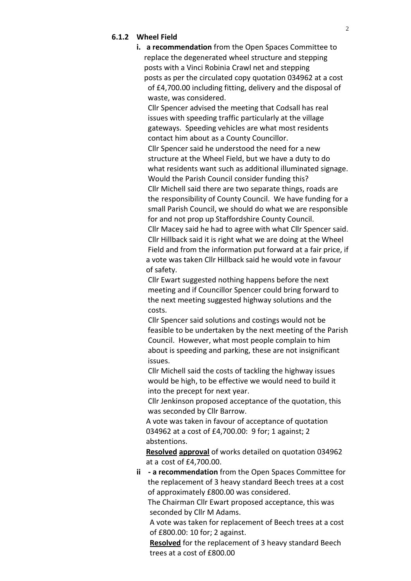#### **6.1.2 Wheel Field**

**i. a recommendation** from the Open Spaces Committee to replace the degenerated wheel structure and stepping posts with a Vinci Robinia Crawl net and stepping posts as per the circulated copy quotation 034962 at a cost of £4,700.00 including fitting, delivery and the disposal of waste, was considered.

 Cllr Spencer advised the meeting that Codsall has real issues with speeding traffic particularly at the village gateways. Speeding vehicles are what most residents contact him about as a County Councillor.

 Cllr Spencer said he understood the need for a new structure at the Wheel Field, but we have a duty to do what residents want such as additional illuminated signage. Would the Parish Council consider funding this?

 Cllr Michell said there are two separate things, roads are the responsibility of County Council. We have funding for a small Parish Council, we should do what we are responsible for and not prop up Staffordshire County Council.

 Cllr Macey said he had to agree with what Cllr Spencer said. Cllr Hillback said it is right what we are doing at the Wheel Field and from the information put forward at a fair price, if a vote was taken Cllr Hillback said he would vote in favour of safety.

 Cllr Ewart suggested nothing happens before the next meeting and if Councillor Spencer could bring forward to the next meeting suggested highway solutions and the costs.

 Cllr Spencer said solutions and costings would not be feasible to be undertaken by the next meeting of the Parish Council. However, what most people complain to him about is speeding and parking, these are not insignificant issues.

 Cllr Michell said the costs of tackling the highway issues would be high, to be effective we would need to build it into the precept for next year.

 Cllr Jenkinson proposed acceptance of the quotation, this was seconded by Cllr Barrow.

 A vote was taken in favour of acceptance of quotation 034962 at a cost of £4,700.00: 9 for; 1 against; 2 abstentions.

 **Resolved approval** of works detailed on quotation 034962 at a cost of £4,700.00.

**ii - a recommendation** from the Open Spaces Committee for the replacement of 3 heavy standard Beech trees at a cost of approximately £800.00 was considered.

 The Chairman Cllr Ewart proposed acceptance, this was seconded by Cllr M Adams.

 A vote was taken for replacement of Beech trees at a cost of £800.00: 10 for; 2 against.

 **Resolved** for the replacement of 3 heavy standard Beech trees at a cost of £800.00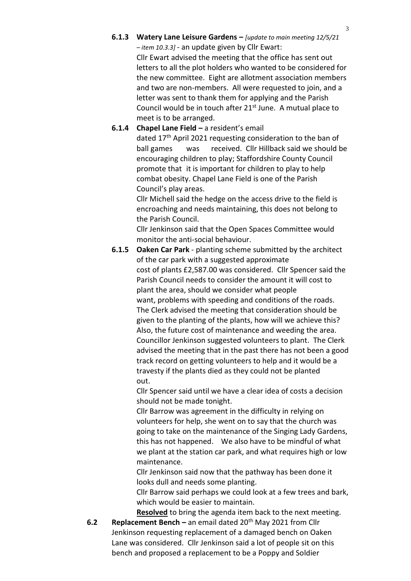**6.1.3 Watery Lane Leisure Gardens –** *[update to main meeting 12/5/21 – item 10.3.3] -* an update given by Cllr Ewart: Cllr Ewart advised the meeting that the office has sent out letters to all the plot holders who wanted to be considered for the new committee. Eight are allotment association members and two are non-members. All were requested to join, and a letter was sent to thank them for applying and the Parish

Council would be in touch after  $21<sup>st</sup>$  June. A mutual place to meet is to be arranged.

#### **6.1.4 Chapel Lane Field –** a resident's email

dated 17th April 2021 requesting consideration to the ban of ball games was received. Cllr Hillback said we should be encouraging children to play; Staffordshire County Council promote that it is important for children to play to help combat obesity. Chapel Lane Field is one of the Parish Council's play areas.

Cllr Michell said the hedge on the access drive to the field is encroaching and needs maintaining, this does not belong to the Parish Council.

Cllr Jenkinson said that the Open Spaces Committee would monitor the anti-social behaviour.

**6.1.5 Oaken Car Park** - planting scheme submitted by the architect of the car park with a suggested approximate cost of plants £2,587.00 was considered. Cllr Spencer said the Parish Council needs to consider the amount it will cost to plant the area, should we consider what people want, problems with speeding and conditions of the roads. The Clerk advised the meeting that consideration should be given to the planting of the plants, how will we achieve this? Also, the future cost of maintenance and weeding the area. Councillor Jenkinson suggested volunteers to plant. The Clerk advised the meeting that in the past there has not been a good track record on getting volunteers to help and it would be a travesty if the plants died as they could not be planted out.

> Cllr Spencer said until we have a clear idea of costs a decision should not be made tonight.

Cllr Barrow was agreement in the difficulty in relying on volunteers for help, she went on to say that the church was going to take on the maintenance of the Singing Lady Gardens, this has not happened. We also have to be mindful of what we plant at the station car park, and what requires high or low maintenance.

Cllr Jenkinson said now that the pathway has been done it looks dull and needs some planting.

Cllr Barrow said perhaps we could look at a few trees and bark, which would be easier to maintain.

**Resolved** to bring the agenda item back to the next meeting.

**6.2 Replacement Bench –** an email dated 20<sup>th</sup> May 2021 from Cllr Jenkinson requesting replacement of a damaged bench on Oaken Lane was considered. Cllr Jenkinson said a lot of people sit on this bench and proposed a replacement to be a Poppy and Soldier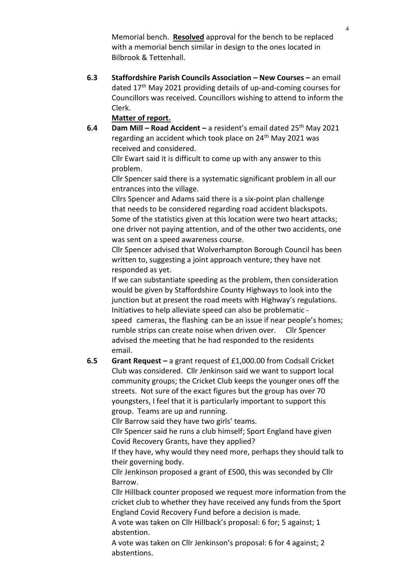Memorial bench. **Resolved** approval for the bench to be replaced with a memorial bench similar in design to the ones located in Bilbrook & Tettenhall.

**6.3 Staffordshire Parish Councils Association – New Courses –** an email dated 17th May 2021 providing details of up-and-coming courses for Councillors was received. Councillors wishing to attend to inform the Clerk.

#### **Matter of report.**

**6.4 Dam Mill – Road Accident –** a resident's email dated 25th May 2021 regarding an accident which took place on 24<sup>th</sup> May 2021 was received and considered.

Cllr Ewart said it is difficult to come up with any answer to this problem.

Cllr Spencer said there is a systematic significant problem in all our entrances into the village.

Cllrs Spencer and Adams said there is a six-point plan challenge that needs to be considered regarding road accident blackspots. Some of the statistics given at this location were two heart attacks; one driver not paying attention, and of the other two accidents, one was sent on a speed awareness course.

Cllr Spencer advised that Wolverhampton Borough Council has been written to, suggesting a joint approach venture; they have not responded as yet.

If we can substantiate speeding as the problem, then consideration would be given by Staffordshire County Highways to look into the junction but at present the road meets with Highway's regulations. Initiatives to help alleviate speed can also be problematic speed cameras, the flashing can be an issue if near people's homes; rumble strips can create noise when driven over. Cllr Spencer advised the meeting that he had responded to the residents email.

**6.5 Grant Request –** a grant request of £1,000.00 from Codsall Cricket Club was considered. Cllr Jenkinson said we want to support local community groups; the Cricket Club keeps the younger ones off the streets. Not sure of the exact figures but the group has over 70 youngsters, I feel that it is particularly important to support this group. Teams are up and running.

Cllr Barrow said they have two girls' teams.

Cllr Spencer said he runs a club himself; Sport England have given Covid Recovery Grants, have they applied?

If they have, why would they need more, perhaps they should talk to their governing body.

Cllr Jenkinson proposed a grant of £500, this was seconded by Cllr Barrow.

Cllr Hillback counter proposed we request more information from the cricket club to whether they have received any funds from the Sport England Covid Recovery Fund before a decision is made.

A vote was taken on Cllr Hillback's proposal: 6 for; 5 against; 1 abstention.

A vote was taken on Cllr Jenkinson's proposal: 6 for 4 against; 2 abstentions.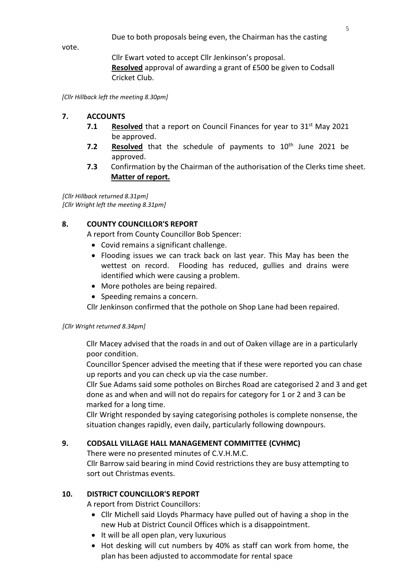Due to both proposals being even, the Chairman has the casting

vote.

Cllr Ewart voted to accept Cllr Jenkinson's proposal. **Resolved** approval of awarding a grant of £500 be given to Codsall Cricket Club.

*[Cllr Hillback left the meeting 8.30pm]*

#### **7. ACCOUNTS**

- **7.1 Resolved** that a report on Council Finances for year to 31<sup>st</sup> May 2021 be approved.
- **7.2 Resolved** that the schedule of payments to 10<sup>th</sup> June 2021 be approved.
- **7.3** Confirmation by the Chairman of the authorisation of the Clerks time sheet. **Matter of report.**

*[Cllr Hillback returned 8.31pm] [Cllr Wright left the meeting 8.31pm]*

#### **8. COUNTY COUNCILLOR'S REPORT**

A report from County Councillor Bob Spencer:

- Covid remains a significant challenge.
- Flooding issues we can track back on last year. This May has been the wettest on record. Flooding has reduced, gullies and drains were identified which were causing a problem.
- More potholes are being repaired.
- Speeding remains a concern.

Cllr Jenkinson confirmed that the pothole on Shop Lane had been repaired.

#### *[Cllr Wright returned 8.34pm]*

Cllr Macey advised that the roads in and out of Oaken village are in a particularly poor condition.

Councillor Spencer advised the meeting that if these were reported you can chase up reports and you can check up via the case number.

Cllr Sue Adams said some potholes on Birches Road are categorised 2 and 3 and get done as and when and will not do repairs for category for 1 or 2 and 3 can be marked for a long time.

Cllr Wright responded by saying categorising potholes is complete nonsense, the situation changes rapidly, even daily, particularly following downpours.

### **9. CODSALL VILLAGE HALL MANAGEMENT COMMITTEE (CVHMC)**

There were no presented minutes of C.V.H.M.C.

Cllr Barrow said bearing in mind Covid restrictions they are busy attempting to sort out Christmas events.

### **10. DISTRICT COUNCILLOR'S REPORT**

A report from District Councillors:

- Cllr Michell said Lloyds Pharmacy have pulled out of having a shop in the new Hub at District Council Offices which is a disappointment.
- It will be all open plan, very luxurious
- Hot desking will cut numbers by 40% as staff can work from home, the plan has been adjusted to accommodate for rental space